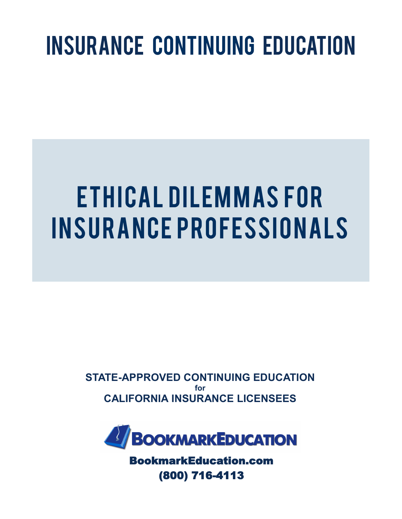## INSURANCE CONTINUING EDUCATION

# E THICAL DILEMMAS FOR IN SURANCE PROFESSIONALS

**STATE-APPROVED CONTINUING EDUCATION for CALIFORNIA INSURANCE LICENSEES**



BookmarkEducation.com (800) 716-4113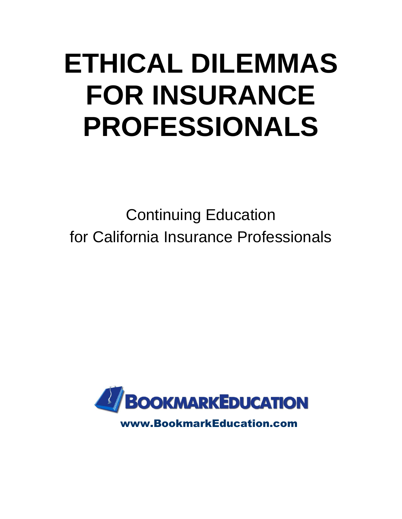# **ETHICAL DILEMMAS FOR INSURANCE PROFESSIONALS**

Continuing Education for California Insurance Professionals

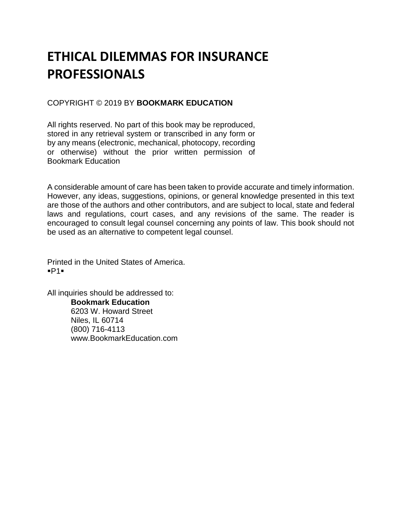### **ETHICAL DILEMMAS FOR INSURANCE PROFESSIONALS**

#### COPYRIGHT © 2019 BY **BOOKMARK EDUCATION**

All rights reserved. No part of this book may be reproduced, stored in any retrieval system or transcribed in any form or by any means (electronic, mechanical, photocopy, recording or otherwise) without the prior written permission of Bookmark Education

A considerable amount of care has been taken to provide accurate and timely information. However, any ideas, suggestions, opinions, or general knowledge presented in this text are those of the authors and other contributors, and are subject to local, state and federal laws and regulations, court cases, and any revisions of the same. The reader is encouraged to consult legal counsel concerning any points of law. This book should not be used as an alternative to competent legal counsel.

Printed in the United States of America. ▪P1▪

All inquiries should be addressed to: **Bookmark Education** 6203 W. Howard Street Niles, IL 60714 (800) 716-4113 www.BookmarkEducation.com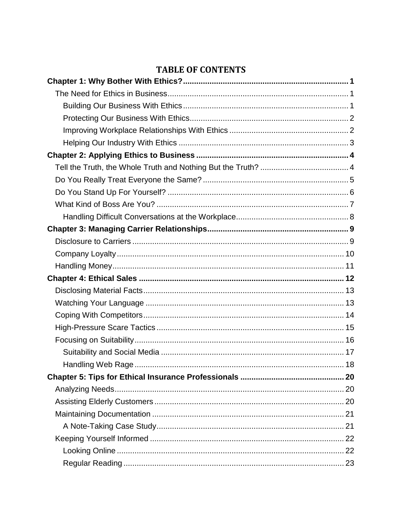#### **TABLE OF CONTENTS**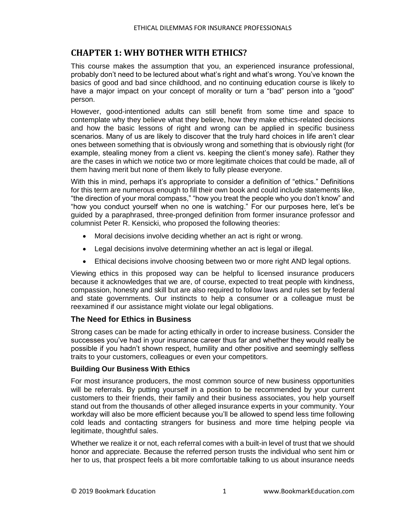#### <span id="page-6-0"></span>**CHAPTER 1: WHY BOTHER WITH ETHICS?**

This course makes the assumption that you, an experienced insurance professional, probably don't need to be lectured about what's right and what's wrong. You've known the basics of good and bad since childhood, and no continuing education course is likely to have a major impact on your concept of morality or turn a "bad" person into a "good" person.

However, good-intentioned adults can still benefit from some time and space to contemplate why they believe what they believe, how they make ethics-related decisions and how the basic lessons of right and wrong can be applied in specific business scenarios. Many of us are likely to discover that the truly hard choices in life aren't clear ones between something that is obviously wrong and something that is obviously right (for example, stealing money from a client vs. keeping the client's money safe). Rather they are the cases in which we notice two or more legitimate choices that could be made, all of them having merit but none of them likely to fully please everyone.

With this in mind, perhaps it's appropriate to consider a definition of "ethics." Definitions for this term are numerous enough to fill their own book and could include statements like, "the direction of your moral compass," "how you treat the people who you don't know" and "how you conduct yourself when no one is watching." For our purposes here, let's be guided by a paraphrased, three-pronged definition from former insurance professor and columnist Peter R. Kensicki, who proposed the following theories:

- Moral decisions involve deciding whether an act is right or wrong.
- Legal decisions involve determining whether an act is legal or illegal.
- Ethical decisions involve choosing between two or more right AND legal options.

Viewing ethics in this proposed way can be helpful to licensed insurance producers because it acknowledges that we are, of course, expected to treat people with kindness, compassion, honesty and skill but are also required to follow laws and rules set by federal and state governments. Our instincts to help a consumer or a colleague must be reexamined if our assistance might violate our legal obligations.

#### <span id="page-6-1"></span>**The Need for Ethics in Business**

Strong cases can be made for acting ethically in order to increase business. Consider the successes you've had in your insurance career thus far and whether they would really be possible if you hadn't shown respect, humility and other positive and seemingly selfless traits to your customers, colleagues or even your competitors.

#### <span id="page-6-2"></span>**Building Our Business With Ethics**

For most insurance producers, the most common source of new business opportunities will be referrals. By putting yourself in a position to be recommended by your current customers to their friends, their family and their business associates, you help yourself stand out from the thousands of other alleged insurance experts in your community. Your workday will also be more efficient because you'll be allowed to spend less time following cold leads and contacting strangers for business and more time helping people via legitimate, thoughtful sales.

Whether we realize it or not, each referral comes with a built-in level of trust that we should honor and appreciate. Because the referred person trusts the individual who sent him or her to us, that prospect feels a bit more comfortable talking to us about insurance needs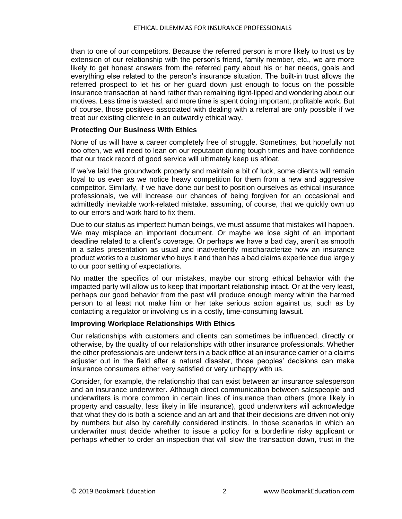than to one of our competitors. Because the referred person is more likely to trust us by extension of our relationship with the person's friend, family member, etc., we are more likely to get honest answers from the referred party about his or her needs, goals and everything else related to the person's insurance situation. The built-in trust allows the referred prospect to let his or her guard down just enough to focus on the possible insurance transaction at hand rather than remaining tight-lipped and wondering about our motives. Less time is wasted, and more time is spent doing important, profitable work. But of course, those positives associated with dealing with a referral are only possible if we treat our existing clientele in an outwardly ethical way.

#### <span id="page-7-0"></span>**Protecting Our Business With Ethics**

None of us will have a career completely free of struggle. Sometimes, but hopefully not too often, we will need to lean on our reputation during tough times and have confidence that our track record of good service will ultimately keep us afloat.

If we've laid the groundwork properly and maintain a bit of luck, some clients will remain loyal to us even as we notice heavy competition for them from a new and aggressive competitor. Similarly, if we have done our best to position ourselves as ethical insurance professionals, we will increase our chances of being forgiven for an occasional and admittedly inevitable work-related mistake, assuming, of course, that we quickly own up to our errors and work hard to fix them.

Due to our status as imperfect human beings, we must assume that mistakes will happen. We may misplace an important document. Or maybe we lose sight of an important deadline related to a client's coverage. Or perhaps we have a bad day, aren't as smooth in a sales presentation as usual and inadvertently mischaracterize how an insurance product works to a customer who buys it and then has a bad claims experience due largely to our poor setting of expectations.

No matter the specifics of our mistakes, maybe our strong ethical behavior with the impacted party will allow us to keep that important relationship intact. Or at the very least, perhaps our good behavior from the past will produce enough mercy within the harmed person to at least not make him or her take serious action against us, such as by contacting a regulator or involving us in a costly, time-consuming lawsuit.

#### <span id="page-7-1"></span>**Improving Workplace Relationships With Ethics**

Our relationships with customers and clients can sometimes be influenced, directly or otherwise, by the quality of our relationships with other insurance professionals. Whether the other professionals are underwriters in a back office at an insurance carrier or a claims adjuster out in the field after a natural disaster, those peoples' decisions can make insurance consumers either very satisfied or very unhappy with us.

Consider, for example, the relationship that can exist between an insurance salesperson and an insurance underwriter. Although direct communication between salespeople and underwriters is more common in certain lines of insurance than others (more likely in property and casualty, less likely in life insurance), good underwriters will acknowledge that what they do is both a science and an art and that their decisions are driven not only by numbers but also by carefully considered instincts. In those scenarios in which an underwriter must decide whether to issue a policy for a borderline risky applicant or perhaps whether to order an inspection that will slow the transaction down, trust in the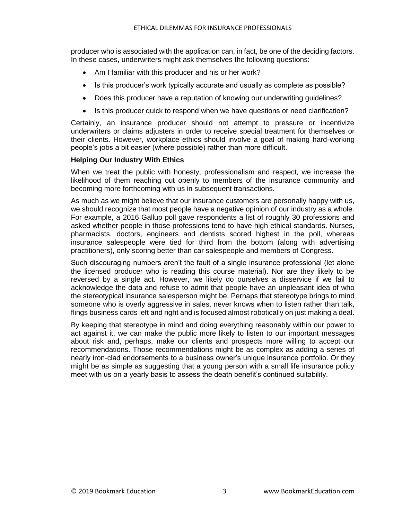producer who is associated with the application can, in fact, be one of the deciding factors. In these cases, underwriters might ask themselves the following questions:

- Am I familiar with this producer and his or her work?
- Is this producer's work typically accurate and usually as complete as possible?
- Does this producer have a reputation of knowing our underwriting guidelines?
- Is this producer quick to respond when we have questions or need clarification?

Certainly, an insurance producer should not attempt to pressure or incentivize underwriters or claims adjusters in order to receive special treatment for themselves or their clients. However, workplace ethics should involve a goal of making hard-working people's jobs a bit easier (where possible) rather than more difficult.

#### <span id="page-8-0"></span>**Helping Our Industry With Ethics**

When we treat the public with honesty, professionalism and respect, we increase the likelihood of them reaching out openly to members of the insurance community and becoming more forthcoming with us in subsequent transactions.

As much as we might believe that our insurance customers are personally happy with us, we should recognize that most people have a negative opinion of our industry as a whole. For example, a 2016 Gallup poll gave respondents a list of roughly 30 professions and asked whether people in those professions tend to have high ethical standards. Nurses, pharmacists, doctors, engineers and dentists scored highest in the poll, whereas insurance salespeople were tied for third from the bottom (along with advertising practitioners), only scoring better than car salespeople and members of Congress.

Such discouraging numbers aren't the fault of a single insurance professional (let alone the licensed producer who is reading this course material). Nor are they likely to be reversed by a single act. However, we likely do ourselves a disservice if we fail to acknowledge the data and refuse to admit that people have an unpleasant idea of who the stereotypical insurance salesperson might be. Perhaps that stereotype brings to mind someone who is overly aggressive in sales, never knows when to listen rather than talk. flings business cards left and right and is focused almost robotically on just making a deal.

By keeping that stereotype in mind and doing everything reasonably within our power to act against it, we can make the public more likely to listen to our important messages about risk and, perhaps, make our clients and prospects more willing to accept our recommendations. Those recommendations might be as complex as adding a series of nearly iron-clad endorsements to a business owner's unique insurance portfolio. Or they might be as simple as suggesting that a young person with a small life insurance policy meet with us on a yearly basis to assess the death benefit's continued suitability.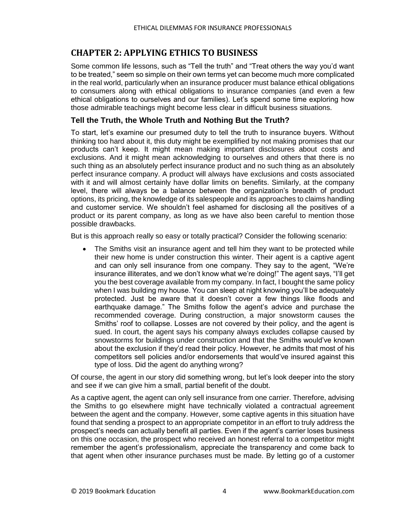#### <span id="page-9-0"></span>**CHAPTER 2: APPLYING ETHICS TO BUSINESS**

Some common life lessons, such as "Tell the truth" and "Treat others the way you'd want to be treated," seem so simple on their own terms yet can become much more complicated in the real world, particularly when an insurance producer must balance ethical obligations to consumers along with ethical obligations to insurance companies (and even a few ethical obligations to ourselves and our families). Let's spend some time exploring how those admirable teachings might become less clear in difficult business situations.

#### <span id="page-9-1"></span>**Tell the Truth, the Whole Truth and Nothing But the Truth?**

To start, let's examine our presumed duty to tell the truth to insurance buyers. Without thinking too hard about it, this duty might be exemplified by not making promises that our products can't keep. It might mean making important disclosures about costs and exclusions. And it might mean acknowledging to ourselves and others that there is no such thing as an absolutely perfect insurance product and no such thing as an absolutely perfect insurance company. A product will always have exclusions and costs associated with it and will almost certainly have dollar limits on benefits. Similarly, at the company level, there will always be a balance between the organization's breadth of product options, its pricing, the knowledge of its salespeople and its approaches to claims handling and customer service. We shouldn't feel ashamed for disclosing all the positives of a product or its parent company, as long as we have also been careful to mention those possible drawbacks.

But is this approach really so easy or totally practical? Consider the following scenario:

• The Smiths visit an insurance agent and tell him they want to be protected while their new home is under construction this winter. Their agent is a captive agent and can only sell insurance from one company. They say to the agent, "We're insurance illiterates, and we don't know what we're doing!" The agent says, "I'll get you the best coverage available from my company. In fact, I bought the same policy when I was building my house. You can sleep at night knowing you'll be adequately protected. Just be aware that it doesn't cover a few things like floods and earthquake damage." The Smiths follow the agent's advice and purchase the recommended coverage. During construction, a major snowstorm causes the Smiths' roof to collapse. Losses are not covered by their policy, and the agent is sued. In court, the agent says his company always excludes collapse caused by snowstorms for buildings under construction and that the Smiths would've known about the exclusion if they'd read their policy. However, he admits that most of his competitors sell policies and/or endorsements that would've insured against this type of loss. Did the agent do anything wrong?

Of course, the agent in our story did something wrong, but let's look deeper into the story and see if we can give him a small, partial benefit of the doubt.

As a captive agent, the agent can only sell insurance from one carrier. Therefore, advising the Smiths to go elsewhere might have technically violated a contractual agreement between the agent and the company. However, some captive agents in this situation have found that sending a prospect to an appropriate competitor in an effort to truly address the prospect's needs can actually benefit all parties. Even if the agent's carrier loses business on this one occasion, the prospect who received an honest referral to a competitor might remember the agent's professionalism, appreciate the transparency and come back to that agent when other insurance purchases must be made. By letting go of a customer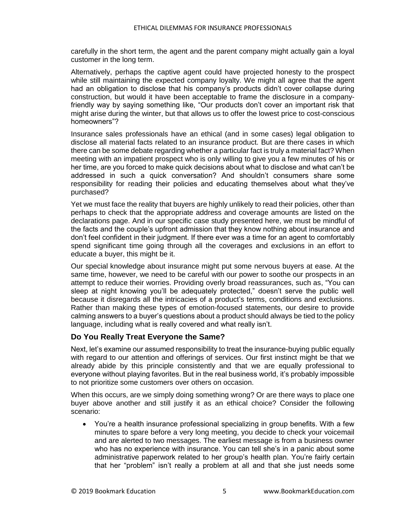carefully in the short term, the agent and the parent company might actually gain a loyal customer in the long term.

Alternatively, perhaps the captive agent could have projected honesty to the prospect while still maintaining the expected company loyalty. We might all agree that the agent had an obligation to disclose that his company's products didn't cover collapse during construction, but would it have been acceptable to frame the disclosure in a companyfriendly way by saying something like, "Our products don't cover an important risk that might arise during the winter, but that allows us to offer the lowest price to cost-conscious homeowners"?

Insurance sales professionals have an ethical (and in some cases) legal obligation to disclose all material facts related to an insurance product. But are there cases in which there can be some debate regarding whether a particular fact is truly a material fact? When meeting with an impatient prospect who is only willing to give you a few minutes of his or her time, are you forced to make quick decisions about what to disclose and what can't be addressed in such a quick conversation? And shouldn't consumers share some responsibility for reading their policies and educating themselves about what they've purchased?

Yet we must face the reality that buyers are highly unlikely to read their policies, other than perhaps to check that the appropriate address and coverage amounts are listed on the declarations page. And in our specific case study presented here, we must be mindful of the facts and the couple's upfront admission that they know nothing about insurance and don't feel confident in their judgment. If there ever was a time for an agent to comfortably spend significant time going through all the coverages and exclusions in an effort to educate a buyer, this might be it.

Our special knowledge about insurance might put some nervous buyers at ease. At the same time, however, we need to be careful with our power to soothe our prospects in an attempt to reduce their worries. Providing overly broad reassurances, such as, "You can sleep at night knowing you'll be adequately protected," doesn't serve the public well because it disregards all the intricacies of a product's terms, conditions and exclusions. Rather than making these types of emotion-focused statements, our desire to provide calming answers to a buyer's questions about a product should always be tied to the policy language, including what is really covered and what really isn't.

#### <span id="page-10-0"></span>**Do You Really Treat Everyone the Same?**

Next, let's examine our assumed responsibility to treat the insurance-buying public equally with regard to our attention and offerings of services. Our first instinct might be that we already abide by this principle consistently and that we are equally professional to everyone without playing favorites. But in the real business world, it's probably impossible to not prioritize some customers over others on occasion.

When this occurs, are we simply doing something wrong? Or are there ways to place one buyer above another and still justify it as an ethical choice? Consider the following scenario:

• You're a health insurance professional specializing in group benefits. With a few minutes to spare before a very long meeting, you decide to check your voicemail and are alerted to two messages. The earliest message is from a business owner who has no experience with insurance. You can tell she's in a panic about some administrative paperwork related to her group's health plan. You're fairly certain that her "problem" isn't really a problem at all and that she just needs some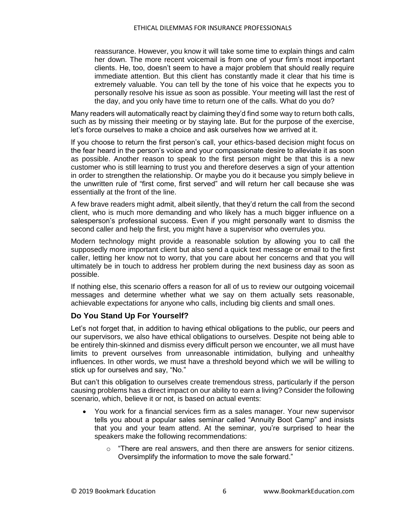reassurance. However, you know it will take some time to explain things and calm her down. The more recent voicemail is from one of your firm's most important clients. He, too, doesn't seem to have a major problem that should really require immediate attention. But this client has constantly made it clear that his time is extremely valuable. You can tell by the tone of his voice that he expects you to personally resolve his issue as soon as possible. Your meeting will last the rest of the day, and you only have time to return one of the calls. What do you do?

Many readers will automatically react by claiming they'd find some way to return both calls, such as by missing their meeting or by staying late. But for the purpose of the exercise, let's force ourselves to make a choice and ask ourselves how we arrived at it.

If you choose to return the first person's call, your ethics-based decision might focus on the fear heard in the person's voice and your compassionate desire to alleviate it as soon as possible. Another reason to speak to the first person might be that this is a new customer who is still learning to trust you and therefore deserves a sign of your attention in order to strengthen the relationship. Or maybe you do it because you simply believe in the unwritten rule of "first come, first served" and will return her call because she was essentially at the front of the line.

A few brave readers might admit, albeit silently, that they'd return the call from the second client, who is much more demanding and who likely has a much bigger influence on a salesperson's professional success. Even if you might personally want to dismiss the second caller and help the first, you might have a supervisor who overrules you.

Modern technology might provide a reasonable solution by allowing you to call the supposedly more important client but also send a quick text message or email to the first caller, letting her know not to worry, that you care about her concerns and that you will ultimately be in touch to address her problem during the next business day as soon as possible.

If nothing else, this scenario offers a reason for all of us to review our outgoing voicemail messages and determine whether what we say on them actually sets reasonable, achievable expectations for anyone who calls, including big clients and small ones.

#### <span id="page-11-0"></span>**Do You Stand Up For Yourself?**

Let's not forget that, in addition to having ethical obligations to the public, our peers and our supervisors, we also have ethical obligations to ourselves. Despite not being able to be entirely thin-skinned and dismiss every difficult person we encounter, we all must have limits to prevent ourselves from unreasonable intimidation, bullying and unhealthy influences. In other words, we must have a threshold beyond which we will be willing to stick up for ourselves and say, "No."

But can't this obligation to ourselves create tremendous stress, particularly if the person causing problems has a direct impact on our ability to earn a living? Consider the following scenario, which, believe it or not, is based on actual events:

- You work for a financial services firm as a sales manager. Your new supervisor tells you about a popular sales seminar called "Annuity Boot Camp" and insists that you and your team attend. At the seminar, you're surprised to hear the speakers make the following recommendations:
	- $\circ$  "There are real answers, and then there are answers for senior citizens. Oversimplify the information to move the sale forward."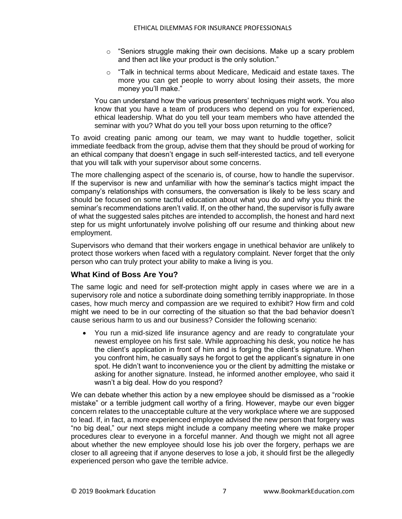- $\circ$  "Seniors struggle making their own decisions. Make up a scary problem and then act like your product is the only solution."
- o "Talk in technical terms about Medicare, Medicaid and estate taxes. The more you can get people to worry about losing their assets, the more money you'll make."

You can understand how the various presenters' techniques might work. You also know that you have a team of producers who depend on you for experienced, ethical leadership. What do you tell your team members who have attended the seminar with you? What do you tell your boss upon returning to the office?

To avoid creating panic among our team, we may want to huddle together, solicit immediate feedback from the group, advise them that they should be proud of working for an ethical company that doesn't engage in such self-interested tactics, and tell everyone that you will talk with your supervisor about some concerns.

The more challenging aspect of the scenario is, of course, how to handle the supervisor. If the supervisor is new and unfamiliar with how the seminar's tactics might impact the company's relationships with consumers, the conversation is likely to be less scary and should be focused on some tactful education about what you do and why you think the seminar's recommendations aren't valid. If, on the other hand, the supervisor is fully aware of what the suggested sales pitches are intended to accomplish, the honest and hard next step for us might unfortunately involve polishing off our resume and thinking about new employment.

Supervisors who demand that their workers engage in unethical behavior are unlikely to protect those workers when faced with a regulatory complaint. Never forget that the only person who can truly protect your ability to make a living is you.

#### <span id="page-12-0"></span>**What Kind of Boss Are You?**

The same logic and need for self-protection might apply in cases where we are in a supervisory role and notice a subordinate doing something terribly inappropriate. In those cases, how much mercy and compassion are we required to exhibit? How firm and cold might we need to be in our correcting of the situation so that the bad behavior doesn't cause serious harm to us and our business? Consider the following scenario:

• You run a mid-sized life insurance agency and are ready to congratulate your newest employee on his first sale. While approaching his desk, you notice he has the client's application in front of him and is forging the client's signature. When you confront him, he casually says he forgot to get the applicant's signature in one spot. He didn't want to inconvenience you or the client by admitting the mistake or asking for another signature. Instead, he informed another employee, who said it wasn't a big deal. How do you respond?

We can debate whether this action by a new employee should be dismissed as a "rookie mistake" or a terrible judgment call worthy of a firing. However, maybe our even bigger concern relates to the unacceptable culture at the very workplace where we are supposed to lead. If, in fact, a more experienced employee advised the new person that forgery was "no big deal," our next steps might include a company meeting where we make proper procedures clear to everyone in a forceful manner. And though we might not all agree about whether the new employee should lose his job over the forgery, perhaps we are closer to all agreeing that if anyone deserves to lose a job, it should first be the allegedly experienced person who gave the terrible advice.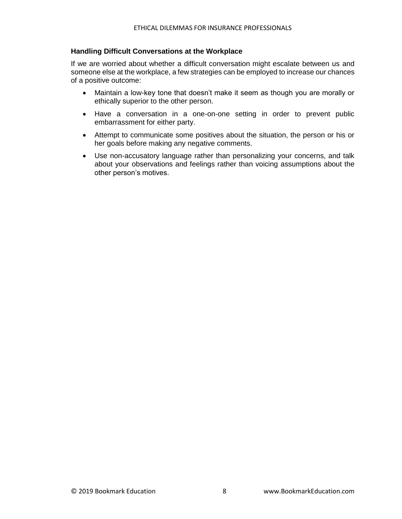#### <span id="page-13-0"></span>**Handling Difficult Conversations at the Workplace**

If we are worried about whether a difficult conversation might escalate between us and someone else at the workplace, a few strategies can be employed to increase our chances of a positive outcome:

- Maintain a low-key tone that doesn't make it seem as though you are morally or ethically superior to the other person.
- Have a conversation in a one-on-one setting in order to prevent public embarrassment for either party.
- Attempt to communicate some positives about the situation, the person or his or her goals before making any negative comments.
- Use non-accusatory language rather than personalizing your concerns, and talk about your observations and feelings rather than voicing assumptions about the other person's motives.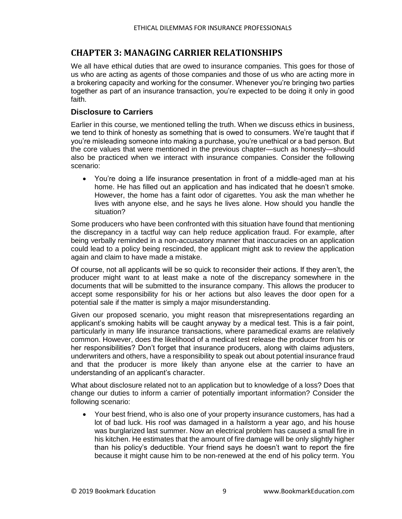#### <span id="page-14-0"></span>**CHAPTER 3: MANAGING CARRIER RELATIONSHIPS**

We all have ethical duties that are owed to insurance companies. This goes for those of us who are acting as agents of those companies and those of us who are acting more in a brokering capacity and working for the consumer. Whenever you're bringing two parties together as part of an insurance transaction, you're expected to be doing it only in good faith.

#### <span id="page-14-1"></span>**Disclosure to Carriers**

Earlier in this course, we mentioned telling the truth. When we discuss ethics in business, we tend to think of honesty as something that is owed to consumers. We're taught that if you're misleading someone into making a purchase, you're unethical or a bad person. But the core values that were mentioned in the previous chapter—such as honesty—should also be practiced when we interact with insurance companies. Consider the following scenario:

• You're doing a life insurance presentation in front of a middle-aged man at his home. He has filled out an application and has indicated that he doesn't smoke. However, the home has a faint odor of cigarettes. You ask the man whether he lives with anyone else, and he says he lives alone. How should you handle the situation?

Some producers who have been confronted with this situation have found that mentioning the discrepancy in a tactful way can help reduce application fraud. For example, after being verbally reminded in a non-accusatory manner that inaccuracies on an application could lead to a policy being rescinded, the applicant might ask to review the application again and claim to have made a mistake.

Of course, not all applicants will be so quick to reconsider their actions. If they aren't, the producer might want to at least make a note of the discrepancy somewhere in the documents that will be submitted to the insurance company. This allows the producer to accept some responsibility for his or her actions but also leaves the door open for a potential sale if the matter is simply a major misunderstanding.

Given our proposed scenario, you might reason that misrepresentations regarding an applicant's smoking habits will be caught anyway by a medical test. This is a fair point, particularly in many life insurance transactions, where paramedical exams are relatively common. However, does the likelihood of a medical test release the producer from his or her responsibilities? Don't forget that insurance producers, along with claims adjusters, underwriters and others, have a responsibility to speak out about potential insurance fraud and that the producer is more likely than anyone else at the carrier to have an understanding of an applicant's character.

What about disclosure related not to an application but to knowledge of a loss? Does that change our duties to inform a carrier of potentially important information? Consider the following scenario:

• Your best friend, who is also one of your property insurance customers, has had a lot of bad luck. His roof was damaged in a hailstorm a year ago, and his house was burglarized last summer. Now an electrical problem has caused a small fire in his kitchen. He estimates that the amount of fire damage will be only slightly higher than his policy's deductible. Your friend says he doesn't want to report the fire because it might cause him to be non-renewed at the end of his policy term. You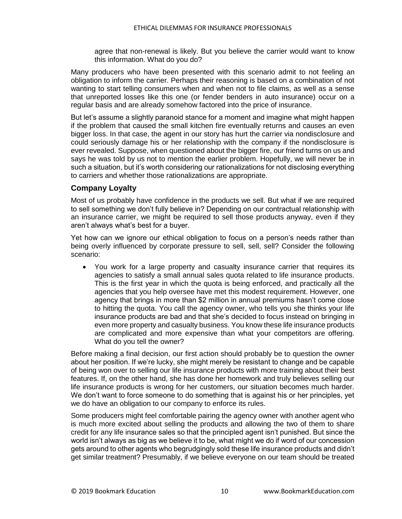agree that non-renewal is likely. But you believe the carrier would want to know this information. What do you do?

Many producers who have been presented with this scenario admit to not feeling an obligation to inform the carrier. Perhaps their reasoning is based on a combination of not wanting to start telling consumers when and when not to file claims, as well as a sense that unreported losses like this one (or fender benders in auto insurance) occur on a regular basis and are already somehow factored into the price of insurance.

But let's assume a slightly paranoid stance for a moment and imagine what might happen if the problem that caused the small kitchen fire eventually returns and causes an even bigger loss. In that case, the agent in our story has hurt the carrier via nondisclosure and could seriously damage his or her relationship with the company if the nondisclosure is ever revealed. Suppose, when questioned about the bigger fire, our friend turns on us and says he was told by us not to mention the earlier problem. Hopefully, we will never be in such a situation, but it's worth considering our rationalizations for not disclosing everything to carriers and whether those rationalizations are appropriate.

#### <span id="page-15-0"></span>**Company Loyalty**

Most of us probably have confidence in the products we sell. But what if we are required to sell something we don't fully believe in? Depending on our contractual relationship with an insurance carrier, we might be required to sell those products anyway, even if they aren't always what's best for a buyer.

Yet how can we ignore our ethical obligation to focus on a person's needs rather than being overly influenced by corporate pressure to sell, sell, sell? Consider the following scenario:

• You work for a large property and casualty insurance carrier that requires its agencies to satisfy a small annual sales quota related to life insurance products. This is the first year in which the quota is being enforced, and practically all the agencies that you help oversee have met this modest requirement. However, one agency that brings in more than \$2 million in annual premiums hasn't come close to hitting the quota. You call the agency owner, who tells you she thinks your life insurance products are bad and that she's decided to focus instead on bringing in even more property and casualty business. You know these life insurance products are complicated and more expensive than what your competitors are offering. What do you tell the owner?

Before making a final decision, our first action should probably be to question the owner about her position. If we're lucky, she might merely be resistant to change and be capable of being won over to selling our life insurance products with more training about their best features. If, on the other hand, she has done her homework and truly believes selling our life insurance products is wrong for her customers, our situation becomes much harder. We don't want to force someone to do something that is against his or her principles, yet we do have an obligation to our company to enforce its rules.

Some producers might feel comfortable pairing the agency owner with another agent who is much more excited about selling the products and allowing the two of them to share credit for any life insurance sales so that the principled agent isn't punished. But since the world isn't always as big as we believe it to be, what might we do if word of our concession gets around to other agents who begrudgingly sold these life insurance products and didn't get similar treatment? Presumably, if we believe everyone on our team should be treated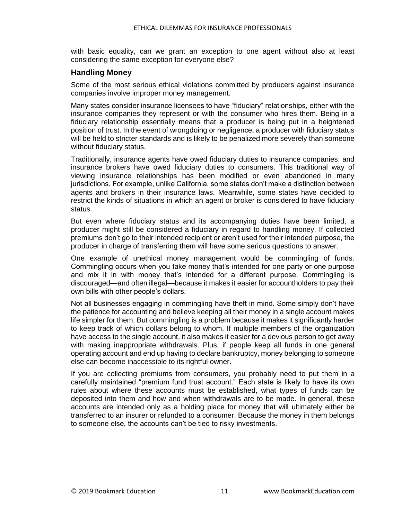with basic equality, can we grant an exception to one agent without also at least considering the same exception for everyone else?

#### <span id="page-16-0"></span>**Handling Money**

Some of the most serious ethical violations committed by producers against insurance companies involve improper money management.

Many states consider insurance licensees to have "fiduciary" relationships, either with the insurance companies they represent or with the consumer who hires them. Being in a fiduciary relationship essentially means that a producer is being put in a heightened position of trust. In the event of wrongdoing or negligence, a producer with fiduciary status will be held to stricter standards and is likely to be penalized more severely than someone without fiduciary status.

Traditionally, insurance agents have owed fiduciary duties to insurance companies, and insurance brokers have owed fiduciary duties to consumers. This traditional way of viewing insurance relationships has been modified or even abandoned in many jurisdictions. For example, unlike California, some states don't make a distinction between agents and brokers in their insurance laws. Meanwhile, some states have decided to restrict the kinds of situations in which an agent or broker is considered to have fiduciary status.

But even where fiduciary status and its accompanying duties have been limited, a producer might still be considered a fiduciary in regard to handling money. If collected premiums don't go to their intended recipient or aren't used for their intended purpose, the producer in charge of transferring them will have some serious questions to answer.

One example of unethical money management would be commingling of funds. Commingling occurs when you take money that's intended for one party or one purpose and mix it in with money that's intended for a different purpose. Commingling is discouraged—and often illegal—because it makes it easier for accountholders to pay their own bills with other people's dollars.

Not all businesses engaging in commingling have theft in mind. Some simply don't have the patience for accounting and believe keeping all their money in a single account makes life simpler for them. But commingling is a problem because it makes it significantly harder to keep track of which dollars belong to whom. If multiple members of the organization have access to the single account, it also makes it easier for a devious person to get away with making inappropriate withdrawals. Plus, if people keep all funds in one general operating account and end up having to declare bankruptcy, money belonging to someone else can become inaccessible to its rightful owner.

If you are collecting premiums from consumers, you probably need to put them in a carefully maintained "premium fund trust account." Each state is likely to have its own rules about where these accounts must be established, what types of funds can be deposited into them and how and when withdrawals are to be made. In general, these accounts are intended only as a holding place for money that will ultimately either be transferred to an insurer or refunded to a consumer. Because the money in them belongs to someone else, the accounts can't be tied to risky investments.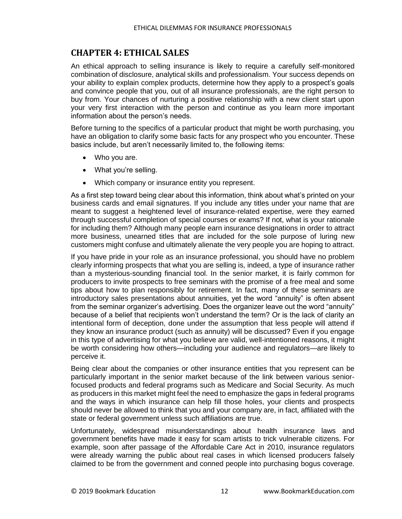#### <span id="page-17-0"></span>**CHAPTER 4: ETHICAL SALES**

An ethical approach to selling insurance is likely to require a carefully self-monitored combination of disclosure, analytical skills and professionalism. Your success depends on your ability to explain complex products, determine how they apply to a prospect's goals and convince people that you, out of all insurance professionals, are the right person to buy from. Your chances of nurturing a positive relationship with a new client start upon your very first interaction with the person and continue as you learn more important information about the person's needs.

Before turning to the specifics of a particular product that might be worth purchasing, you have an obligation to clarify some basic facts for any prospect who you encounter. These basics include, but aren't necessarily limited to, the following items:

- Who you are.
- What you're selling.
- Which company or insurance entity you represent.

As a first step toward being clear about this information, think about what's printed on your business cards and email signatures. If you include any titles under your name that are meant to suggest a heightened level of insurance-related expertise, were they earned through successful completion of special courses or exams? If not, what is your rationale for including them? Although many people earn insurance designations in order to attract more business, unearned titles that are included for the sole purpose of luring new customers might confuse and ultimately alienate the very people you are hoping to attract.

If you have pride in your role as an insurance professional, you should have no problem clearly informing prospects that what you are selling is, indeed, a type of insurance rather than a mysterious-sounding financial tool. In the senior market, it is fairly common for producers to invite prospects to free seminars with the promise of a free meal and some tips about how to plan responsibly for retirement. In fact, many of these seminars are introductory sales presentations about annuities, yet the word "annuity" is often absent from the seminar organizer's advertising. Does the organizer leave out the word "annuity" because of a belief that recipients won't understand the term? Or is the lack of clarity an intentional form of deception, done under the assumption that less people will attend if they know an insurance product (such as annuity) will be discussed? Even if you engage in this type of advertising for what you believe are valid, well-intentioned reasons, it might be worth considering how others—including your audience and regulators—are likely to perceive it.

Being clear about the companies or other insurance entities that you represent can be particularly important in the senior market because of the link between various seniorfocused products and federal programs such as Medicare and Social Security. As much as producers in this market might feel the need to emphasize the gaps in federal programs and the ways in which insurance can help fill those holes, your clients and prospects should never be allowed to think that you and your company are, in fact, affiliated with the state or federal government unless such affiliations are true.

Unfortunately, widespread misunderstandings about health insurance laws and government benefits have made it easy for scam artists to trick vulnerable citizens. For example, soon after passage of the Affordable Care Act in 2010, insurance regulators were already warning the public about real cases in which licensed producers falsely claimed to be from the government and conned people into purchasing bogus coverage.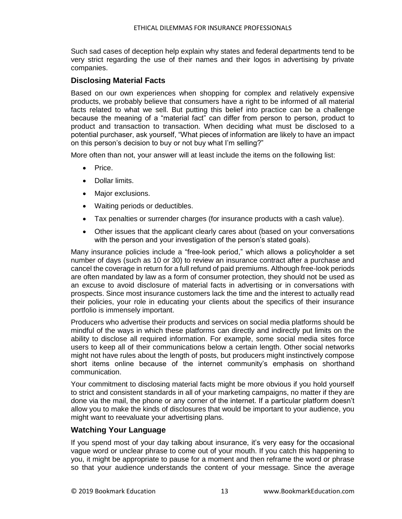Such sad cases of deception help explain why states and federal departments tend to be very strict regarding the use of their names and their logos in advertising by private companies.

#### <span id="page-18-0"></span>**Disclosing Material Facts**

Based on our own experiences when shopping for complex and relatively expensive products, we probably believe that consumers have a right to be informed of all material facts related to what we sell. But putting this belief into practice can be a challenge because the meaning of a "material fact" can differ from person to person, product to product and transaction to transaction. When deciding what must be disclosed to a potential purchaser, ask yourself, "What pieces of information are likely to have an impact on this person's decision to buy or not buy what I'm selling?"

More often than not, your answer will at least include the items on the following list:

- Price.
- Dollar limits.
- Major exclusions.
- Waiting periods or deductibles.
- Tax penalties or surrender charges (for insurance products with a cash value).
- Other issues that the applicant clearly cares about (based on your conversations with the person and your investigation of the person's stated goals).

Many insurance policies include a "free-look period," which allows a policyholder a set number of days (such as 10 or 30) to review an insurance contract after a purchase and cancel the coverage in return for a full refund of paid premiums. Although free-look periods are often mandated by law as a form of consumer protection, they should not be used as an excuse to avoid disclosure of material facts in advertising or in conversations with prospects. Since most insurance customers lack the time and the interest to actually read their policies, your role in educating your clients about the specifics of their insurance portfolio is immensely important.

Producers who advertise their products and services on social media platforms should be mindful of the ways in which these platforms can directly and indirectly put limits on the ability to disclose all required information. For example, some social media sites force users to keep all of their communications below a certain length. Other social networks might not have rules about the length of posts, but producers might instinctively compose short items online because of the internet community's emphasis on shorthand communication.

Your commitment to disclosing material facts might be more obvious if you hold yourself to strict and consistent standards in all of your marketing campaigns, no matter if they are done via the mail, the phone or any corner of the internet. If a particular platform doesn't allow you to make the kinds of disclosures that would be important to your audience, you might want to reevaluate your advertising plans.

#### <span id="page-18-1"></span>**Watching Your Language**

If you spend most of your day talking about insurance, it's very easy for the occasional vague word or unclear phrase to come out of your mouth. If you catch this happening to you, it might be appropriate to pause for a moment and then reframe the word or phrase so that your audience understands the content of your message. Since the average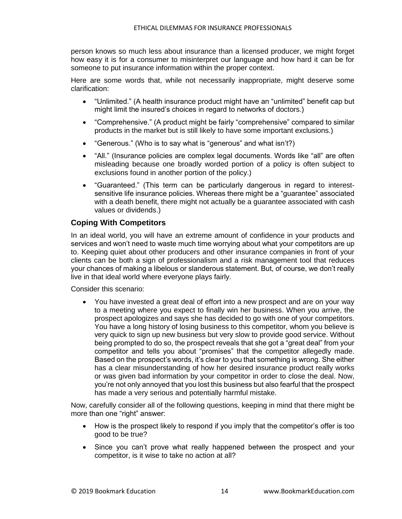person knows so much less about insurance than a licensed producer, we might forget how easy it is for a consumer to misinterpret our language and how hard it can be for someone to put insurance information within the proper context.

Here are some words that, while not necessarily inappropriate, might deserve some clarification:

- "Unlimited." (A health insurance product might have an "unlimited" benefit cap but might limit the insured's choices in regard to networks of doctors.)
- "Comprehensive." (A product might be fairly "comprehensive" compared to similar products in the market but is still likely to have some important exclusions.)
- "Generous." (Who is to say what is "generous" and what isn't?)
- "All." (Insurance policies are complex legal documents. Words like "all" are often misleading because one broadly worded portion of a policy is often subject to exclusions found in another portion of the policy.)
- "Guaranteed." (This term can be particularly dangerous in regard to interestsensitive life insurance policies. Whereas there might be a "guarantee" associated with a death benefit, there might not actually be a guarantee associated with cash values or dividends.)

#### <span id="page-19-0"></span>**Coping With Competitors**

In an ideal world, you will have an extreme amount of confidence in your products and services and won't need to waste much time worrying about what your competitors are up to. Keeping quiet about other producers and other insurance companies in front of your clients can be both a sign of professionalism and a risk management tool that reduces your chances of making a libelous or slanderous statement. But, of course, we don't really live in that ideal world where everyone plays fairly.

Consider this scenario:

• You have invested a great deal of effort into a new prospect and are on your way to a meeting where you expect to finally win her business. When you arrive, the prospect apologizes and says she has decided to go with one of your competitors. You have a long history of losing business to this competitor, whom you believe is very quick to sign up new business but very slow to provide good service. Without being prompted to do so, the prospect reveals that she got a "great deal" from your competitor and tells you about "promises" that the competitor allegedly made. Based on the prospect's words, it's clear to you that something is wrong. She either has a clear misunderstanding of how her desired insurance product really works or was given bad information by your competitor in order to close the deal. Now, you're not only annoyed that you lost this business but also fearful that the prospect has made a very serious and potentially harmful mistake.

Now, carefully consider all of the following questions, keeping in mind that there might be more than one "right" answer:

- How is the prospect likely to respond if you imply that the competitor's offer is too good to be true?
- Since you can't prove what really happened between the prospect and your competitor, is it wise to take no action at all?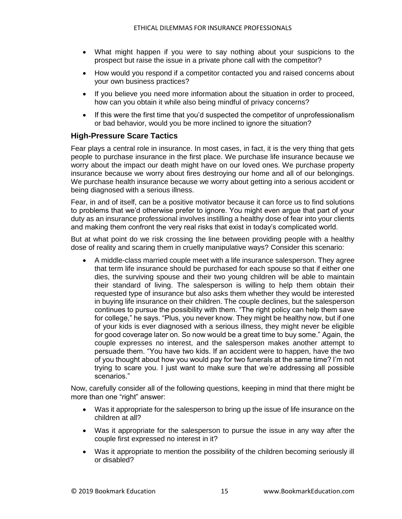- What might happen if you were to say nothing about your suspicions to the prospect but raise the issue in a private phone call with the competitor?
- How would you respond if a competitor contacted you and raised concerns about your own business practices?
- If you believe you need more information about the situation in order to proceed, how can you obtain it while also being mindful of privacy concerns?
- If this were the first time that you'd suspected the competitor of unprofessionalism or bad behavior, would you be more inclined to ignore the situation?

#### <span id="page-20-0"></span>**High-Pressure Scare Tactics**

Fear plays a central role in insurance. In most cases, in fact, it is the very thing that gets people to purchase insurance in the first place. We purchase life insurance because we worry about the impact our death might have on our loved ones. We purchase property insurance because we worry about fires destroying our home and all of our belongings. We purchase health insurance because we worry about getting into a serious accident or being diagnosed with a serious illness.

Fear, in and of itself, can be a positive motivator because it can force us to find solutions to problems that we'd otherwise prefer to ignore. You might even argue that part of your duty as an insurance professional involves instilling a healthy dose of fear into your clients and making them confront the very real risks that exist in today's complicated world.

But at what point do we risk crossing the line between providing people with a healthy dose of reality and scaring them in cruelly manipulative ways? Consider this scenario:

• A middle-class married couple meet with a life insurance salesperson. They agree that term life insurance should be purchased for each spouse so that if either one dies, the surviving spouse and their two young children will be able to maintain their standard of living. The salesperson is willing to help them obtain their requested type of insurance but also asks them whether they would be interested in buying life insurance on their children. The couple declines, but the salesperson continues to pursue the possibility with them. "The right policy can help them save for college," he says. "Plus, you never know. They might be healthy now, but if one of your kids is ever diagnosed with a serious illness, they might never be eligible for good coverage later on. So now would be a great time to buy some." Again, the couple expresses no interest, and the salesperson makes another attempt to persuade them. "You have two kids. If an accident were to happen, have the two of you thought about how you would pay for two funerals at the same time? I'm not trying to scare you. I just want to make sure that we're addressing all possible scenarios."

Now, carefully consider all of the following questions, keeping in mind that there might be more than one "right" answer:

- Was it appropriate for the salesperson to bring up the issue of life insurance on the children at all?
- Was it appropriate for the salesperson to pursue the issue in any way after the couple first expressed no interest in it?
- Was it appropriate to mention the possibility of the children becoming seriously ill or disabled?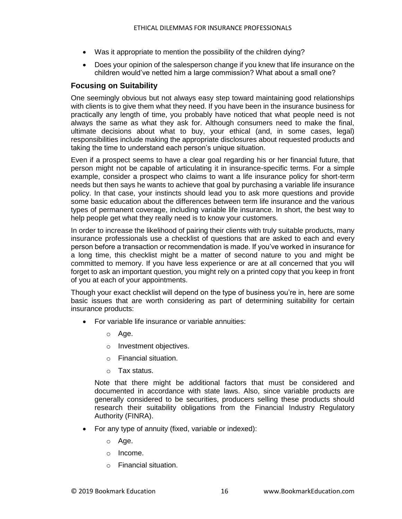- Was it appropriate to mention the possibility of the children dying?
- Does your opinion of the salesperson change if you knew that life insurance on the children would've netted him a large commission? What about a small one?

#### <span id="page-21-0"></span>**Focusing on Suitability**

One seemingly obvious but not always easy step toward maintaining good relationships with clients is to give them what they need. If you have been in the insurance business for practically any length of time, you probably have noticed that what people need is not always the same as what they ask for. Although consumers need to make the final, ultimate decisions about what to buy, your ethical (and, in some cases, legal) responsibilities include making the appropriate disclosures about requested products and taking the time to understand each person's unique situation.

Even if a prospect seems to have a clear goal regarding his or her financial future, that person might not be capable of articulating it in insurance-specific terms. For a simple example, consider a prospect who claims to want a life insurance policy for short-term needs but then says he wants to achieve that goal by purchasing a variable life insurance policy. In that case, your instincts should lead you to ask more questions and provide some basic education about the differences between term life insurance and the various types of permanent coverage, including variable life insurance. In short, the best way to help people get what they really need is to know your customers.

In order to increase the likelihood of pairing their clients with truly suitable products, many insurance professionals use a checklist of questions that are asked to each and every person before a transaction or recommendation is made. If you've worked in insurance for a long time, this checklist might be a matter of second nature to you and might be committed to memory. If you have less experience or are at all concerned that you will forget to ask an important question, you might rely on a printed copy that you keep in front of you at each of your appointments.

Though your exact checklist will depend on the type of business you're in, here are some basic issues that are worth considering as part of determining suitability for certain insurance products:

- For variable life insurance or variable annuities:
	- o Age.
	- o Investment objectives.
	- o Financial situation.
	- o Tax status.

Note that there might be additional factors that must be considered and documented in accordance with state laws. Also, since variable products are generally considered to be securities, producers selling these products should research their suitability obligations from the Financial Industry Regulatory Authority (FINRA).

- For any type of annuity (fixed, variable or indexed):
	- o Age.
	- o Income.
	- o Financial situation.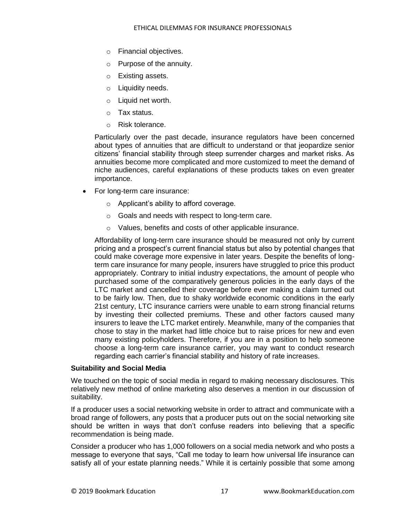- o Financial objectives.
- o Purpose of the annuity.
- o Existing assets.
- o Liquidity needs.
- o Liquid net worth.
- o Tax status.
- o Risk tolerance.

Particularly over the past decade, insurance regulators have been concerned about types of annuities that are difficult to understand or that jeopardize senior citizens' financial stability through steep surrender charges and market risks. As annuities become more complicated and more customized to meet the demand of niche audiences, careful explanations of these products takes on even greater importance.

- For long-term care insurance:
	- o Applicant's ability to afford coverage.
	- o Goals and needs with respect to long-term care.
	- o Values, benefits and costs of other applicable insurance.

Affordability of long-term care insurance should be measured not only by current pricing and a prospect's current financial status but also by potential changes that could make coverage more expensive in later years. Despite the benefits of longterm care insurance for many people, insurers have struggled to price this product appropriately. Contrary to initial industry expectations, the amount of people who purchased some of the comparatively generous policies in the early days of the LTC market and cancelled their coverage before ever making a claim turned out to be fairly low. Then, due to shaky worldwide economic conditions in the early 21st century, LTC insurance carriers were unable to earn strong financial returns by investing their collected premiums. These and other factors caused many insurers to leave the LTC market entirely. Meanwhile, many of the companies that chose to stay in the market had little choice but to raise prices for new and even many existing policyholders. Therefore, if you are in a position to help someone choose a long-term care insurance carrier, you may want to conduct research regarding each carrier's financial stability and history of rate increases.

#### <span id="page-22-0"></span>**Suitability and Social Media**

We touched on the topic of social media in regard to making necessary disclosures. This relatively new method of online marketing also deserves a mention in our discussion of suitability.

If a producer uses a social networking website in order to attract and communicate with a broad range of followers, any posts that a producer puts out on the social networking site should be written in ways that don't confuse readers into believing that a specific recommendation is being made.

Consider a producer who has 1,000 followers on a social media network and who posts a message to everyone that says, "Call me today to learn how universal life insurance can satisfy all of your estate planning needs." While it is certainly possible that some among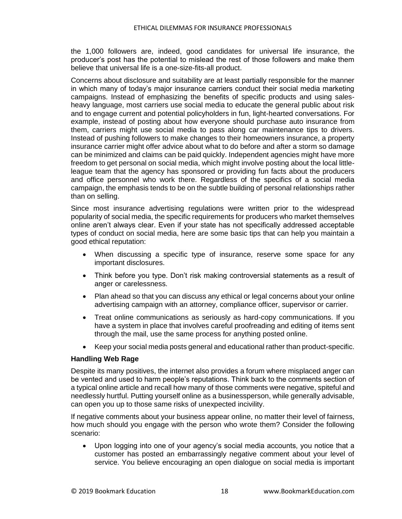the 1,000 followers are, indeed, good candidates for universal life insurance, the producer's post has the potential to mislead the rest of those followers and make them believe that universal life is a one-size-fits-all product.

Concerns about disclosure and suitability are at least partially responsible for the manner in which many of today's major insurance carriers conduct their social media marketing campaigns. Instead of emphasizing the benefits of specific products and using salesheavy language, most carriers use social media to educate the general public about risk and to engage current and potential policyholders in fun, light-hearted conversations. For example, instead of posting about how everyone should purchase auto insurance from them, carriers might use social media to pass along car maintenance tips to drivers. Instead of pushing followers to make changes to their homeowners insurance, a property insurance carrier might offer advice about what to do before and after a storm so damage can be minimized and claims can be paid quickly. Independent agencies might have more freedom to get personal on social media, which might involve posting about the local littleleague team that the agency has sponsored or providing fun facts about the producers and office personnel who work there. Regardless of the specifics of a social media campaign, the emphasis tends to be on the subtle building of personal relationships rather than on selling.

Since most insurance advertising regulations were written prior to the widespread popularity of social media, the specific requirements for producers who market themselves online aren't always clear. Even if your state has not specifically addressed acceptable types of conduct on social media, here are some basic tips that can help you maintain a good ethical reputation:

- When discussing a specific type of insurance, reserve some space for any important disclosures.
- Think before you type. Don't risk making controversial statements as a result of anger or carelessness.
- Plan ahead so that you can discuss any ethical or legal concerns about your online advertising campaign with an attorney, compliance officer, supervisor or carrier.
- Treat online communications as seriously as hard-copy communications. If you have a system in place that involves careful proofreading and editing of items sent through the mail, use the same process for anything posted online.
- Keep your social media posts general and educational rather than product-specific.

#### <span id="page-23-0"></span>**Handling Web Rage**

Despite its many positives, the internet also provides a forum where misplaced anger can be vented and used to harm people's reputations. Think back to the comments section of a typical online article and recall how many of those comments were negative, spiteful and needlessly hurtful. Putting yourself online as a businessperson, while generally advisable, can open you up to those same risks of unexpected incivility.

If negative comments about your business appear online, no matter their level of fairness, how much should you engage with the person who wrote them? Consider the following scenario:

• Upon logging into one of your agency's social media accounts, you notice that a customer has posted an embarrassingly negative comment about your level of service. You believe encouraging an open dialogue on social media is important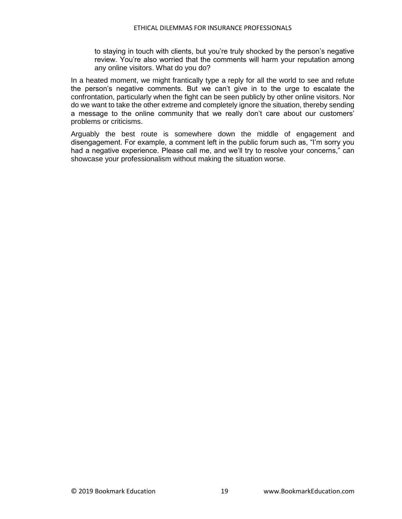to staying in touch with clients, but you're truly shocked by the person's negative review. You're also worried that the comments will harm your reputation among any online visitors. What do you do?

In a heated moment, we might frantically type a reply for all the world to see and refute the person's negative comments. But we can't give in to the urge to escalate the confrontation, particularly when the fight can be seen publicly by other online visitors. Nor do we want to take the other extreme and completely ignore the situation, thereby sending a message to the online community that we really don't care about our customers' problems or criticisms.

Arguably the best route is somewhere down the middle of engagement and disengagement. For example, a comment left in the public forum such as, "I'm sorry you had a negative experience. Please call me, and we'll try to resolve your concerns," can showcase your professionalism without making the situation worse.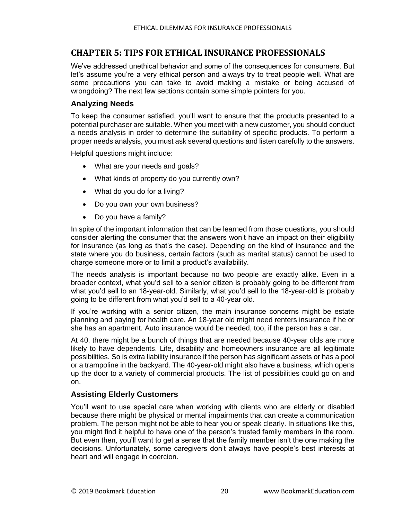#### <span id="page-25-0"></span>**CHAPTER 5: TIPS FOR ETHICAL INSURANCE PROFESSIONALS**

We've addressed unethical behavior and some of the consequences for consumers. But let's assume you're a very ethical person and always try to treat people well. What are some precautions you can take to avoid making a mistake or being accused of wrongdoing? The next few sections contain some simple pointers for you.

#### <span id="page-25-1"></span>**Analyzing Needs**

To keep the consumer satisfied, you'll want to ensure that the products presented to a potential purchaser are suitable. When you meet with a new customer, you should conduct a needs analysis in order to determine the suitability of specific products. To perform a proper needs analysis, you must ask several questions and listen carefully to the answers.

Helpful questions might include:

- What are your needs and goals?
- What kinds of property do you currently own?
- What do you do for a living?
- Do you own your own business?
- Do you have a family?

In spite of the important information that can be learned from those questions, you should consider alerting the consumer that the answers won't have an impact on their eligibility for insurance (as long as that's the case). Depending on the kind of insurance and the state where you do business, certain factors (such as marital status) cannot be used to charge someone more or to limit a product's availability.

The needs analysis is important because no two people are exactly alike. Even in a broader context, what you'd sell to a senior citizen is probably going to be different from what you'd sell to an 18-year-old. Similarly, what you'd sell to the 18-year-old is probably going to be different from what you'd sell to a 40-year old.

If you're working with a senior citizen, the main insurance concerns might be estate planning and paying for health care. An 18-year old might need renters insurance if he or she has an apartment. Auto insurance would be needed, too, if the person has a car.

At 40, there might be a bunch of things that are needed because 40-year olds are more likely to have dependents. Life, disability and homeowners insurance are all legitimate possibilities. So is extra liability insurance if the person has significant assets or has a pool or a trampoline in the backyard. The 40-year-old might also have a business, which opens up the door to a variety of commercial products. The list of possibilities could go on and on.

#### <span id="page-25-2"></span>**Assisting Elderly Customers**

You'll want to use special care when working with clients who are elderly or disabled because there might be physical or mental impairments that can create a communication problem. The person might not be able to hear you or speak clearly. In situations like this, you might find it helpful to have one of the person's trusted family members in the room. But even then, you'll want to get a sense that the family member isn't the one making the decisions. Unfortunately, some caregivers don't always have people's best interests at heart and will engage in coercion.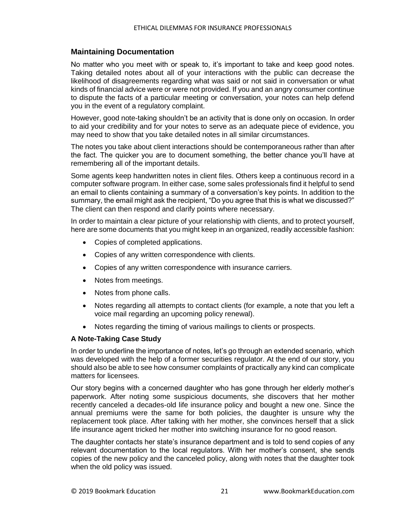#### <span id="page-26-0"></span>**Maintaining Documentation**

No matter who you meet with or speak to, it's important to take and keep good notes. Taking detailed notes about all of your interactions with the public can decrease the likelihood of disagreements regarding what was said or not said in conversation or what kinds of financial advice were or were not provided. If you and an angry consumer continue to dispute the facts of a particular meeting or conversation, your notes can help defend you in the event of a regulatory complaint.

However, good note-taking shouldn't be an activity that is done only on occasion. In order to aid your credibility and for your notes to serve as an adequate piece of evidence, you may need to show that you take detailed notes in all similar circumstances.

The notes you take about client interactions should be contemporaneous rather than after the fact. The quicker you are to document something, the better chance you'll have at remembering all of the important details.

Some agents keep handwritten notes in client files. Others keep a continuous record in a computer software program. In either case, some sales professionals find it helpful to send an email to clients containing a summary of a conversation's key points. In addition to the summary, the email might ask the recipient, "Do you agree that this is what we discussed?" The client can then respond and clarify points where necessary.

In order to maintain a clear picture of your relationship with clients, and to protect yourself, here are some documents that you might keep in an organized, readily accessible fashion:

- Copies of completed applications.
- Copies of any written correspondence with clients.
- Copies of any written correspondence with insurance carriers.
- Notes from meetings.
- Notes from phone calls.
- Notes regarding all attempts to contact clients (for example, a note that you left a voice mail regarding an upcoming policy renewal).
- Notes regarding the timing of various mailings to clients or prospects.

#### <span id="page-26-1"></span>**A Note-Taking Case Study**

In order to underline the importance of notes, let's go through an extended scenario, which was developed with the help of a former securities regulator. At the end of our story, you should also be able to see how consumer complaints of practically any kind can complicate matters for licensees.

Our story begins with a concerned daughter who has gone through her elderly mother's paperwork. After noting some suspicious documents, she discovers that her mother recently canceled a decades-old life insurance policy and bought a new one. Since the annual premiums were the same for both policies, the daughter is unsure why the replacement took place. After talking with her mother, she convinces herself that a slick life insurance agent tricked her mother into switching insurance for no good reason.

The daughter contacts her state's insurance department and is told to send copies of any relevant documentation to the local regulators. With her mother's consent, she sends copies of the new policy and the canceled policy, along with notes that the daughter took when the old policy was issued.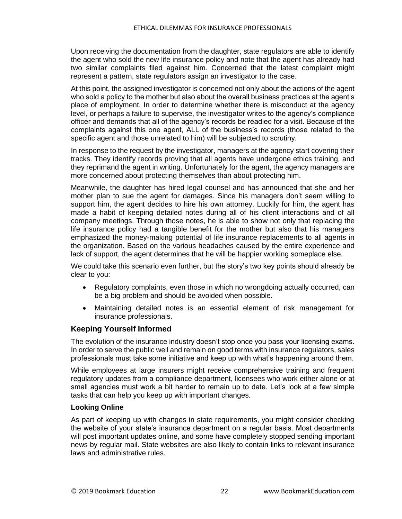Upon receiving the documentation from the daughter, state regulators are able to identify the agent who sold the new life insurance policy and note that the agent has already had two similar complaints filed against him. Concerned that the latest complaint might represent a pattern, state regulators assign an investigator to the case.

At this point, the assigned investigator is concerned not only about the actions of the agent who sold a policy to the mother but also about the overall business practices at the agent's place of employment. In order to determine whether there is misconduct at the agency level, or perhaps a failure to supervise, the investigator writes to the agency's compliance officer and demands that all of the agency's records be readied for a visit. Because of the complaints against this one agent, ALL of the business's records (those related to the specific agent and those unrelated to him) will be subjected to scrutiny.

In response to the request by the investigator, managers at the agency start covering their tracks. They identify records proving that all agents have undergone ethics training, and they reprimand the agent in writing. Unfortunately for the agent, the agency managers are more concerned about protecting themselves than about protecting him.

Meanwhile, the daughter has hired legal counsel and has announced that she and her mother plan to sue the agent for damages. Since his managers don't seem willing to support him, the agent decides to hire his own attorney. Luckily for him, the agent has made a habit of keeping detailed notes during all of his client interactions and of all company meetings. Through those notes, he is able to show not only that replacing the life insurance policy had a tangible benefit for the mother but also that his managers emphasized the money-making potential of life insurance replacements to all agents in the organization. Based on the various headaches caused by the entire experience and lack of support, the agent determines that he will be happier working someplace else.

We could take this scenario even further, but the story's two key points should already be clear to you:

- Regulatory complaints, even those in which no wrongdoing actually occurred, can be a big problem and should be avoided when possible.
- Maintaining detailed notes is an essential element of risk management for insurance professionals.

#### <span id="page-27-0"></span>**Keeping Yourself Informed**

The evolution of the insurance industry doesn't stop once you pass your licensing exams. In order to serve the public well and remain on good terms with insurance regulators, sales professionals must take some initiative and keep up with what's happening around them.

While employees at large insurers might receive comprehensive training and frequent regulatory updates from a compliance department, licensees who work either alone or at small agencies must work a bit harder to remain up to date. Let's look at a few simple tasks that can help you keep up with important changes.

#### <span id="page-27-1"></span>**Looking Online**

As part of keeping up with changes in state requirements, you might consider checking the website of your state's insurance department on a regular basis. Most departments will post important updates online, and some have completely stopped sending important news by regular mail. State websites are also likely to contain links to relevant insurance laws and administrative rules.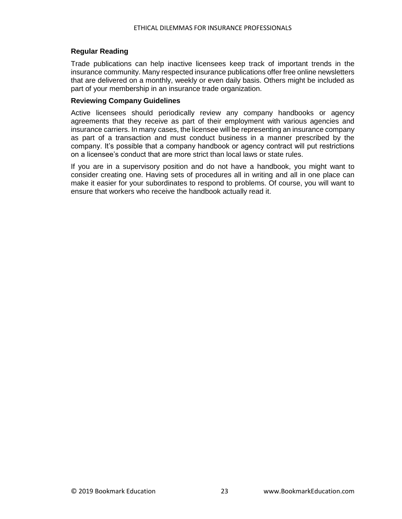#### <span id="page-28-0"></span>**Regular Reading**

Trade publications can help inactive licensees keep track of important trends in the insurance community. Many respected insurance publications offer free online newsletters that are delivered on a monthly, weekly or even daily basis. Others might be included as part of your membership in an insurance trade organization.

#### <span id="page-28-1"></span>**Reviewing Company Guidelines**

Active licensees should periodically review any company handbooks or agency agreements that they receive as part of their employment with various agencies and insurance carriers. In many cases, the licensee will be representing an insurance company as part of a transaction and must conduct business in a manner prescribed by the company. It's possible that a company handbook or agency contract will put restrictions on a licensee's conduct that are more strict than local laws or state rules.

If you are in a supervisory position and do not have a handbook, you might want to consider creating one. Having sets of procedures all in writing and all in one place can make it easier for your subordinates to respond to problems. Of course, you will want to ensure that workers who receive the handbook actually read it.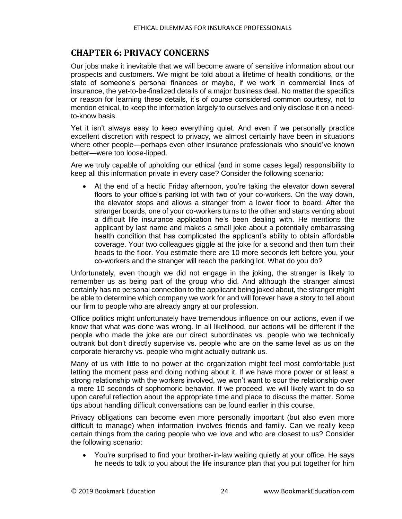#### <span id="page-29-0"></span>**CHAPTER 6: PRIVACY CONCERNS**

Our jobs make it inevitable that we will become aware of sensitive information about our prospects and customers. We might be told about a lifetime of health conditions, or the state of someone's personal finances or maybe, if we work in commercial lines of insurance, the yet-to-be-finalized details of a major business deal. No matter the specifics or reason for learning these details, it's of course considered common courtesy, not to mention ethical, to keep the information largely to ourselves and only disclose it on a needto-know basis.

Yet it isn't always easy to keep everything quiet. And even if we personally practice excellent discretion with respect to privacy, we almost certainly have been in situations where other people—perhaps even other insurance professionals who should've known better—were too loose-lipped.

Are we truly capable of upholding our ethical (and in some cases legal) responsibility to keep all this information private in every case? Consider the following scenario:

At the end of a hectic Friday afternoon, you're taking the elevator down several floors to your office's parking lot with two of your co-workers. On the way down, the elevator stops and allows a stranger from a lower floor to board. After the stranger boards, one of your co-workers turns to the other and starts venting about a difficult life insurance application he's been dealing with. He mentions the applicant by last name and makes a small joke about a potentially embarrassing health condition that has complicated the applicant's ability to obtain affordable coverage. Your two colleagues giggle at the joke for a second and then turn their heads to the floor. You estimate there are 10 more seconds left before you, your co-workers and the stranger will reach the parking lot. What do you do?

Unfortunately, even though we did not engage in the joking, the stranger is likely to remember us as being part of the group who did. And although the stranger almost certainly has no personal connection to the applicant being joked about, the stranger might be able to determine which company we work for and will forever have a story to tell about our firm to people who are already angry at our profession.

Office politics might unfortunately have tremendous influence on our actions, even if we know that what was done was wrong. In all likelihood, our actions will be different if the people who made the joke are our direct subordinates vs. people who we technically outrank but don't directly supervise vs. people who are on the same level as us on the corporate hierarchy vs. people who might actually outrank us.

Many of us with little to no power at the organization might feel most comfortable just letting the moment pass and doing nothing about it. If we have more power or at least a strong relationship with the workers involved, we won't want to sour the relationship over a mere 10 seconds of sophomoric behavior. If we proceed, we will likely want to do so upon careful reflection about the appropriate time and place to discuss the matter. Some tips about handling difficult conversations can be found earlier in this course.

Privacy obligations can become even more personally important (but also even more difficult to manage) when information involves friends and family. Can we really keep certain things from the caring people who we love and who are closest to us? Consider the following scenario:

• You're surprised to find your brother-in-law waiting quietly at your office. He says he needs to talk to you about the life insurance plan that you put together for him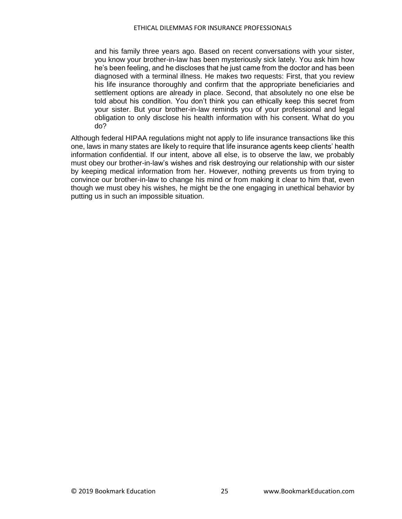and his family three years ago. Based on recent conversations with your sister, you know your brother-in-law has been mysteriously sick lately. You ask him how he's been feeling, and he discloses that he just came from the doctor and has been diagnosed with a terminal illness. He makes two requests: First, that you review his life insurance thoroughly and confirm that the appropriate beneficiaries and settlement options are already in place. Second, that absolutely no one else be told about his condition. You don't think you can ethically keep this secret from your sister. But your brother-in-law reminds you of your professional and legal obligation to only disclose his health information with his consent. What do you do?

Although federal HIPAA regulations might not apply to life insurance transactions like this one, laws in many states are likely to require that life insurance agents keep clients' health information confidential. If our intent, above all else, is to observe the law, we probably must obey our brother-in-law's wishes and risk destroying our relationship with our sister by keeping medical information from her. However, nothing prevents us from trying to convince our brother-in-law to change his mind or from making it clear to him that, even though we must obey his wishes, he might be the one engaging in unethical behavior by putting us in such an impossible situation.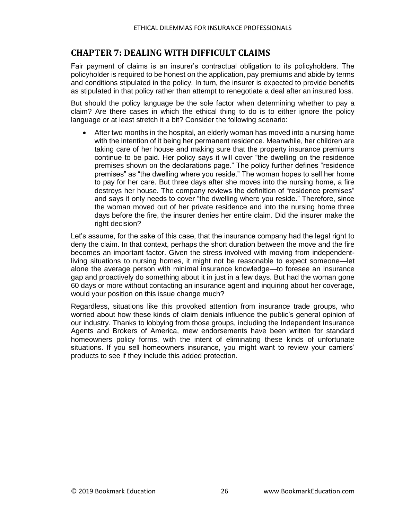#### <span id="page-31-0"></span>**CHAPTER 7: DEALING WITH DIFFICULT CLAIMS**

Fair payment of claims is an insurer's contractual obligation to its policyholders. The policyholder is required to be honest on the application, pay premiums and abide by terms and conditions stipulated in the policy. In turn, the insurer is expected to provide benefits as stipulated in that policy rather than attempt to renegotiate a deal after an insured loss.

But should the policy language be the sole factor when determining whether to pay a claim? Are there cases in which the ethical thing to do is to either ignore the policy language or at least stretch it a bit? Consider the following scenario:

• After two months in the hospital, an elderly woman has moved into a nursing home with the intention of it being her permanent residence. Meanwhile, her children are taking care of her house and making sure that the property insurance premiums continue to be paid. Her policy says it will cover "the dwelling on the residence premises shown on the declarations page." The policy further defines "residence premises" as "the dwelling where you reside." The woman hopes to sell her home to pay for her care. But three days after she moves into the nursing home, a fire destroys her house. The company reviews the definition of "residence premises" and says it only needs to cover "the dwelling where you reside." Therefore, since the woman moved out of her private residence and into the nursing home three days before the fire, the insurer denies her entire claim. Did the insurer make the right decision?

Let's assume, for the sake of this case, that the insurance company had the legal right to deny the claim. In that context, perhaps the short duration between the move and the fire becomes an important factor. Given the stress involved with moving from independentliving situations to nursing homes, it might not be reasonable to expect someone—let alone the average person with minimal insurance knowledge—to foresee an insurance gap and proactively do something about it in just in a few days. But had the woman gone 60 days or more without contacting an insurance agent and inquiring about her coverage, would your position on this issue change much?

Regardless, situations like this provoked attention from insurance trade groups, who worried about how these kinds of claim denials influence the public's general opinion of our industry. Thanks to lobbying from those groups, including the Independent Insurance Agents and Brokers of America, mew endorsements have been written for standard homeowners policy forms, with the intent of eliminating these kinds of unfortunate situations. If you sell homeowners insurance, you might want to review your carriers' products to see if they include this added protection.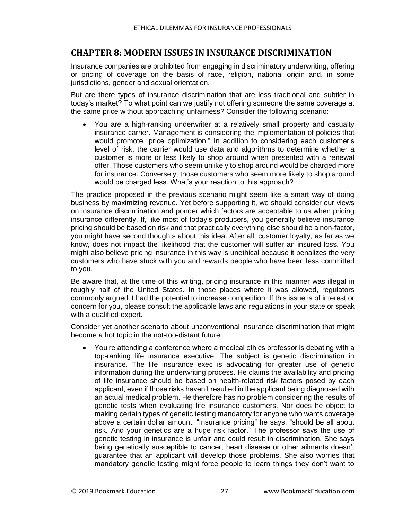#### <span id="page-32-0"></span>**CHAPTER 8: MODERN ISSUES IN INSURANCE DISCRIMINATION**

Insurance companies are prohibited from engaging in discriminatory underwriting, offering or pricing of coverage on the basis of race, religion, national origin and, in some jurisdictions, gender and sexual orientation.

But are there types of insurance discrimination that are less traditional and subtler in today's market? To what point can we justify not offering someone the same coverage at the same price without approaching unfairness? Consider the following scenario:

• You are a high-ranking underwriter at a relatively small property and casualty insurance carrier. Management is considering the implementation of policies that would promote "price optimization." In addition to considering each customer's level of risk, the carrier would use data and algorithms to determine whether a customer is more or less likely to shop around when presented with a renewal offer. Those customers who seem unlikely to shop around would be charged more for insurance. Conversely, those customers who seem more likely to shop around would be charged less. What's your reaction to this approach?

The practice proposed in the previous scenario might seem like a smart way of doing business by maximizing revenue. Yet before supporting it, we should consider our views on insurance discrimination and ponder which factors are acceptable to us when pricing insurance differently. If, like most of today's producers, you generally believe insurance pricing should be based on risk and that practically everything else should be a non-factor, you might have second thoughts about this idea. After all, customer loyalty, as far as we know, does not impact the likelihood that the customer will suffer an insured loss. You might also believe pricing insurance in this way is unethical because it penalizes the very customers who have stuck with you and rewards people who have been less committed to you.

Be aware that, at the time of this writing, pricing insurance in this manner was illegal in roughly half of the United States. In those places where it was allowed, regulators commonly argued it had the potential to increase competition. If this issue is of interest or concern for you, please consult the applicable laws and regulations in your state or speak with a qualified expert.

Consider yet another scenario about unconventional insurance discrimination that might become a hot topic in the not-too-distant future:

• You're attending a conference where a medical ethics professor is debating with a top-ranking life insurance executive. The subject is genetic discrimination in insurance. The life insurance exec is advocating for greater use of genetic information during the underwriting process. He claims the availability and pricing of life insurance should be based on health-related risk factors posed by each applicant, even if those risks haven't resulted in the applicant being diagnosed with an actual medical problem. He therefore has no problem considering the results of genetic tests when evaluating life insurance customers. Nor does he object to making certain types of genetic testing mandatory for anyone who wants coverage above a certain dollar amount. "Insurance pricing" he says, "should be all about risk. And your genetics are a huge risk factor." The professor says the use of genetic testing in insurance is unfair and could result in discrimination. She says being genetically susceptible to cancer, heart disease or other ailments doesn't guarantee that an applicant will develop those problems. She also worries that mandatory genetic testing might force people to learn things they don't want to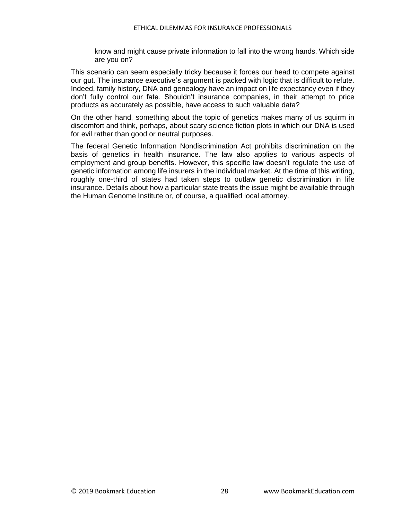know and might cause private information to fall into the wrong hands. Which side are you on?

This scenario can seem especially tricky because it forces our head to compete against our gut. The insurance executive's argument is packed with logic that is difficult to refute. Indeed, family history, DNA and genealogy have an impact on life expectancy even if they don't fully control our fate. Shouldn't insurance companies, in their attempt to price products as accurately as possible, have access to such valuable data?

On the other hand, something about the topic of genetics makes many of us squirm in discomfort and think, perhaps, about scary science fiction plots in which our DNA is used for evil rather than good or neutral purposes.

The federal Genetic Information Nondiscrimination Act prohibits discrimination on the basis of genetics in health insurance. The law also applies to various aspects of employment and group benefits. However, this specific law doesn't regulate the use of genetic information among life insurers in the individual market. At the time of this writing, roughly one-third of states had taken steps to outlaw genetic discrimination in life insurance. Details about how a particular state treats the issue might be available through the Human Genome Institute or, of course, a qualified local attorney.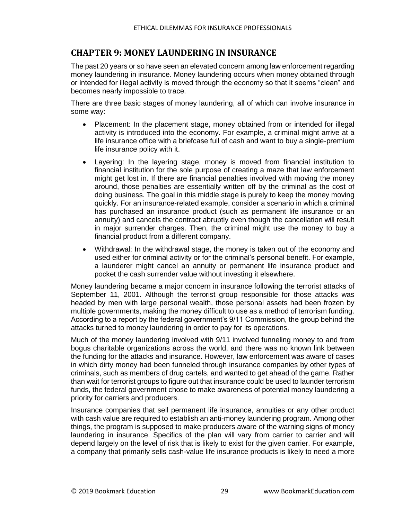#### <span id="page-34-0"></span>**CHAPTER 9: MONEY LAUNDERING IN INSURANCE**

The past 20 years or so have seen an elevated concern among law enforcement regarding money laundering in insurance. Money laundering occurs when money obtained through or intended for illegal activity is moved through the economy so that it seems "clean" and becomes nearly impossible to trace.

There are three basic stages of money laundering, all of which can involve insurance in some way:

- Placement: In the placement stage, money obtained from or intended for illegal activity is introduced into the economy. For example, a criminal might arrive at a life insurance office with a briefcase full of cash and want to buy a single-premium life insurance policy with it.
- Layering: In the layering stage, money is moved from financial institution to financial institution for the sole purpose of creating a maze that law enforcement might get lost in. If there are financial penalties involved with moving the money around, those penalties are essentially written off by the criminal as the cost of doing business. The goal in this middle stage is purely to keep the money moving quickly. For an insurance-related example, consider a scenario in which a criminal has purchased an insurance product (such as permanent life insurance or an annuity) and cancels the contract abruptly even though the cancellation will result in major surrender charges. Then, the criminal might use the money to buy a financial product from a different company.
- Withdrawal: In the withdrawal stage, the money is taken out of the economy and used either for criminal activity or for the criminal's personal benefit. For example, a launderer might cancel an annuity or permanent life insurance product and pocket the cash surrender value without investing it elsewhere.

Money laundering became a major concern in insurance following the terrorist attacks of September 11, 2001. Although the terrorist group responsible for those attacks was headed by men with large personal wealth, those personal assets had been frozen by multiple governments, making the money difficult to use as a method of terrorism funding. According to a report by the federal government's 9/11 Commission, the group behind the attacks turned to money laundering in order to pay for its operations.

Much of the money laundering involved with 9/11 involved funneling money to and from bogus charitable organizations across the world, and there was no known link between the funding for the attacks and insurance. However, law enforcement was aware of cases in which dirty money had been funneled through insurance companies by other types of criminals, such as members of drug cartels, and wanted to get ahead of the game. Rather than wait for terrorist groups to figure out that insurance could be used to launder terrorism funds, the federal government chose to make awareness of potential money laundering a priority for carriers and producers.

Insurance companies that sell permanent life insurance, annuities or any other product with cash value are required to establish an anti-money laundering program. Among other things, the program is supposed to make producers aware of the warning signs of money laundering in insurance. Specifics of the plan will vary from carrier to carrier and will depend largely on the level of risk that is likely to exist for the given carrier. For example, a company that primarily sells cash-value life insurance products is likely to need a more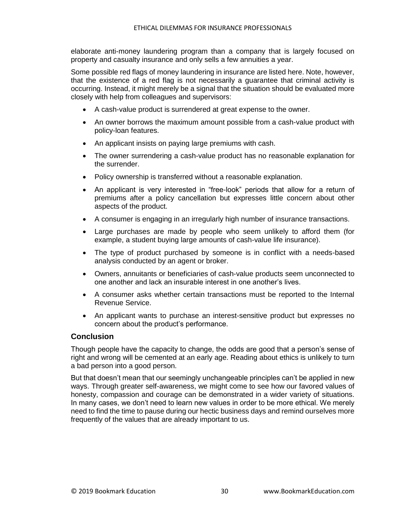elaborate anti-money laundering program than a company that is largely focused on property and casualty insurance and only sells a few annuities a year.

Some possible red flags of money laundering in insurance are listed here. Note, however, that the existence of a red flag is not necessarily a guarantee that criminal activity is occurring. Instead, it might merely be a signal that the situation should be evaluated more closely with help from colleagues and supervisors:

- A cash-value product is surrendered at great expense to the owner.
- An owner borrows the maximum amount possible from a cash-value product with policy-loan features.
- An applicant insists on paying large premiums with cash.
- The owner surrendering a cash-value product has no reasonable explanation for the surrender.
- Policy ownership is transferred without a reasonable explanation.
- An applicant is very interested in "free-look" periods that allow for a return of premiums after a policy cancellation but expresses little concern about other aspects of the product.
- A consumer is engaging in an irregularly high number of insurance transactions.
- Large purchases are made by people who seem unlikely to afford them (for example, a student buying large amounts of cash-value life insurance).
- The type of product purchased by someone is in conflict with a needs-based analysis conducted by an agent or broker.
- Owners, annuitants or beneficiaries of cash-value products seem unconnected to one another and lack an insurable interest in one another's lives.
- A consumer asks whether certain transactions must be reported to the Internal Revenue Service.
- An applicant wants to purchase an interest-sensitive product but expresses no concern about the product's performance.

#### <span id="page-35-0"></span>**Conclusion**

Though people have the capacity to change, the odds are good that a person's sense of right and wrong will be cemented at an early age. Reading about ethics is unlikely to turn a bad person into a good person.

But that doesn't mean that our seemingly unchangeable principles can't be applied in new ways. Through greater self-awareness, we might come to see how our favored values of honesty, compassion and courage can be demonstrated in a wider variety of situations. In many cases, we don't need to learn new values in order to be more ethical. We merely need to find the time to pause during our hectic business days and remind ourselves more frequently of the values that are already important to us.